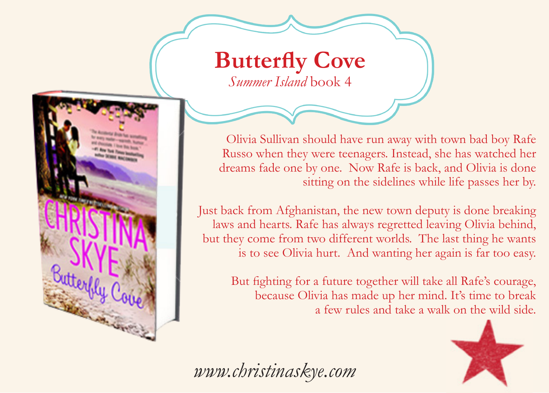## **Butterfly Cove** *Summer Island* book 4



Olivia Sullivan should have run away with town bad boy Rafe Russo when they were teenagers. Instead, she has watched her dreams fade one by one. Now Rafe is back, and Olivia is done sitting on the sidelines while life passes her by.

Just back from Afghanistan, the new town deputy is done breaking laws and hearts. Rafe has always regretted leaving Olivia behind, but they come from two different worlds. The last thing he wants is to see Olivia hurt. And wanting her again is far too easy.

But fighting for a future together will take all Rafe's courage, because Olivia has made up her mind. It's time to break a few rules and take a walk on the wild side.



*www.christinaskye.com*